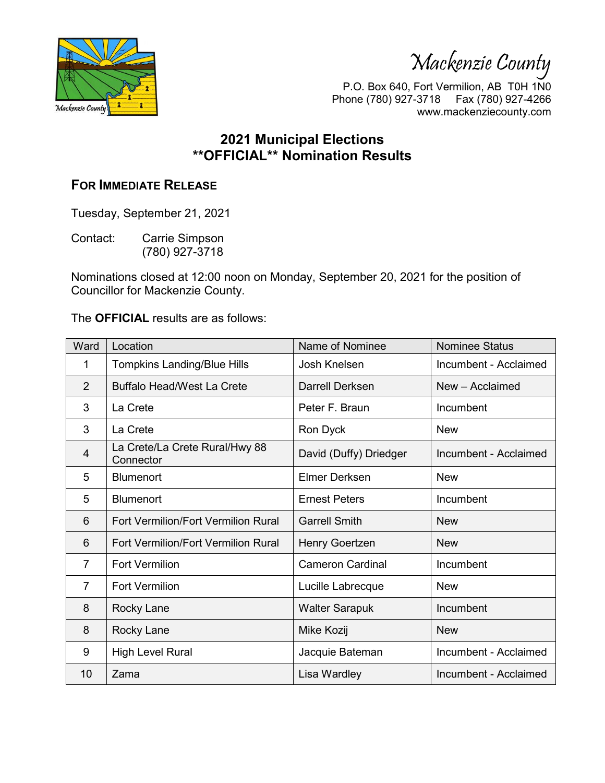Mackenzie County



P.O. Box 640, Fort Vermilion, AB T0H 1N0 Phone (780) 927-3718 Fax (780) 927-4266 www.mackenziecounty.com

## **2021 Municipal Elections \*\*OFFICIAL\*\* Nomination Results**

## **FOR IMMEDIATE RELEASE**

Tuesday, September 21, 2021

Contact: Carrie Simpson (780) 927-3718

Nominations closed at 12:00 noon on Monday, September 20, 2021 for the position of Councillor for Mackenzie County.

The **OFFICIAL** results are as follows:

| Ward           | Location                                    | Name of Nominee         | <b>Nominee Status</b> |
|----------------|---------------------------------------------|-------------------------|-----------------------|
| 1              | <b>Tompkins Landing/Blue Hills</b>          | Josh Knelsen            | Incumbent - Acclaimed |
| 2              | <b>Buffalo Head/West La Crete</b>           | Darrell Derksen         | New - Acclaimed       |
| 3              | La Crete                                    | Peter F. Braun          | Incumbent             |
| 3              | La Crete                                    | Ron Dyck                | <b>New</b>            |
| $\overline{4}$ | La Crete/La Crete Rural/Hwy 88<br>Connector | David (Duffy) Driedger  | Incumbent - Acclaimed |
| 5              | <b>Blumenort</b>                            | <b>Elmer Derksen</b>    | <b>New</b>            |
| 5              | <b>Blumenort</b>                            | <b>Ernest Peters</b>    | Incumbent             |
| 6              | <b>Fort Vermilion/Fort Vermilion Rural</b>  | <b>Garrell Smith</b>    | <b>New</b>            |
| 6              | <b>Fort Vermilion/Fort Vermilion Rural</b>  | Henry Goertzen          | <b>New</b>            |
| $\overline{7}$ | <b>Fort Vermilion</b>                       | <b>Cameron Cardinal</b> | Incumbent             |
| $\overline{7}$ | <b>Fort Vermilion</b>                       | Lucille Labrecque       | <b>New</b>            |
| 8              | Rocky Lane                                  | <b>Walter Sarapuk</b>   | Incumbent             |
| 8              | Rocky Lane                                  | Mike Kozij              | <b>New</b>            |
| 9              | <b>High Level Rural</b>                     | Jacquie Bateman         | Incumbent - Acclaimed |
| 10             | Zama                                        | Lisa Wardley            | Incumbent - Acclaimed |